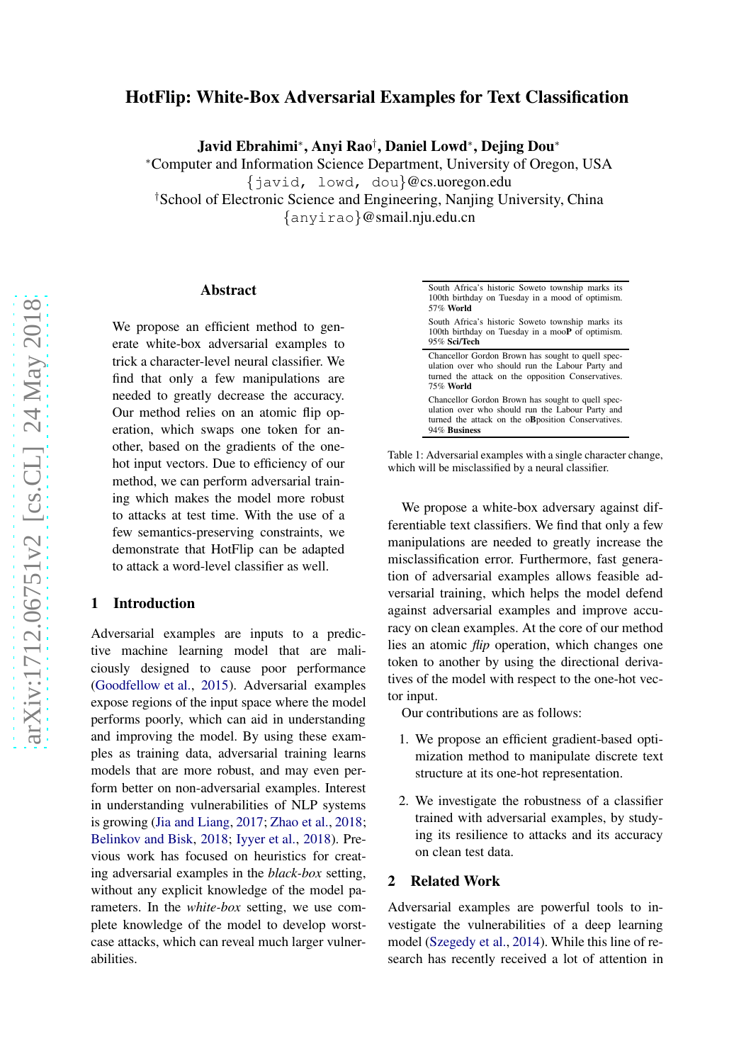# HotFlip: White-Box Adversarial Examples for Text Classification

Javid Ebrahimi<sup>∗</sup> , Anyi Rao† , Daniel Lowd<sup>∗</sup> , Dejing Dou<sup>∗</sup>

<sup>∗</sup>Computer and Information Science Department, University of Oregon, USA {javid, lowd, dou}@cs.uoregon.edu †School of Electronic Science and Engineering, Nanjing University, China {anyirao}@smail.nju.edu.cn

#### Abstract

We propose an efficient method to generate white-box adversarial examples to trick a character-level neural classifier. We find that only a few manipulations are needed to greatly decrease the accuracy. Our method relies on an atomic flip operation, which swaps one token for another, based on the gradients of the onehot input vectors. Due to efficiency of our method, we can perform adversarial training which makes the model more robust to attacks at test time. With the use of a few semantics-preserving constraints, we demonstrate that HotFlip can be adapted to attack a word-level classifier as well.

## 1 Introduction

Adversarial examples are inputs to a predictive machine learning model that are maliciously designed to cause poor performance [\(Goodfellow et al.](#page-5-0), [2015](#page-5-0)). Adversarial examples expose regions of the input space where the model performs poorly, which can aid in understanding and improving the model. By using these examples as training data, adversarial training learns models that are more robust, and may even perform better on non-adversarial examples. Interest in understanding vulnerabilities of NLP systems is growing [\(Jia and Liang](#page-5-1), [2017;](#page-5-1) [Zhao et al.](#page-5-2), [2018](#page-5-2); [Belinkov and Bisk](#page-5-3), [2018;](#page-5-3) [Iyyer et al.](#page-5-4), [2018](#page-5-4)). Previous work has focused on heuristics for creating adversarial examples in the *black-box* setting, without any explicit knowledge of the model parameters. In the *white-box* setting, we use complete knowledge of the model to develop worstcase attacks, which can reveal much larger vulnerabilities.

| South Africa's historic Soweto township marks its<br>100th birthday on Tuesday in a mood of optimism.<br>$57\%$ World                                                           |
|---------------------------------------------------------------------------------------------------------------------------------------------------------------------------------|
| South Africa's historic Soweto township marks its<br>100th birthday on Tuesday in a mooP of optimism.<br>95% Sci/Tech                                                           |
| Chancellor Gordon Brown has sought to quell spec-<br>ulation over who should run the Labour Party and<br>turned the attack on the opposition Conservatives.<br><b>75% World</b> |
| Chancellor Gordon Brown has sought to quell spec-<br>ulation over who should run the Labour Party and<br>turned the attack on the oB position Conservatives.<br>94% Business    |

Table 1: Adversarial examples with a single character change, which will be misclassified by a neural classifier.

We propose a white-box adversary against differentiable text classifiers. We find that only a few manipulations are needed to greatly increase the misclassification error. Furthermore, fast generation of adversarial examples allows feasible adversarial training, which helps the model defend against adversarial examples and improve accuracy on clean examples. At the core of our method lies an atomic *flip* operation, which changes one token to another by using the directional derivatives of the model with respect to the one-hot vector input.

Our contributions are as follows:

- 1. We propose an efficient gradient-based optimization method to manipulate discrete text structure at its one-hot representation.
- 2. We investigate the robustness of a classifier trained with adversarial examples, by studying its resilience to attacks and its accuracy on clean test data.

#### 2 Related Work

Adversarial examples are powerful tools to investigate the vulnerabilities of a deep learning model [\(Szegedy et al.](#page-5-5), [2014\)](#page-5-5). While this line of research has recently received a lot of attention in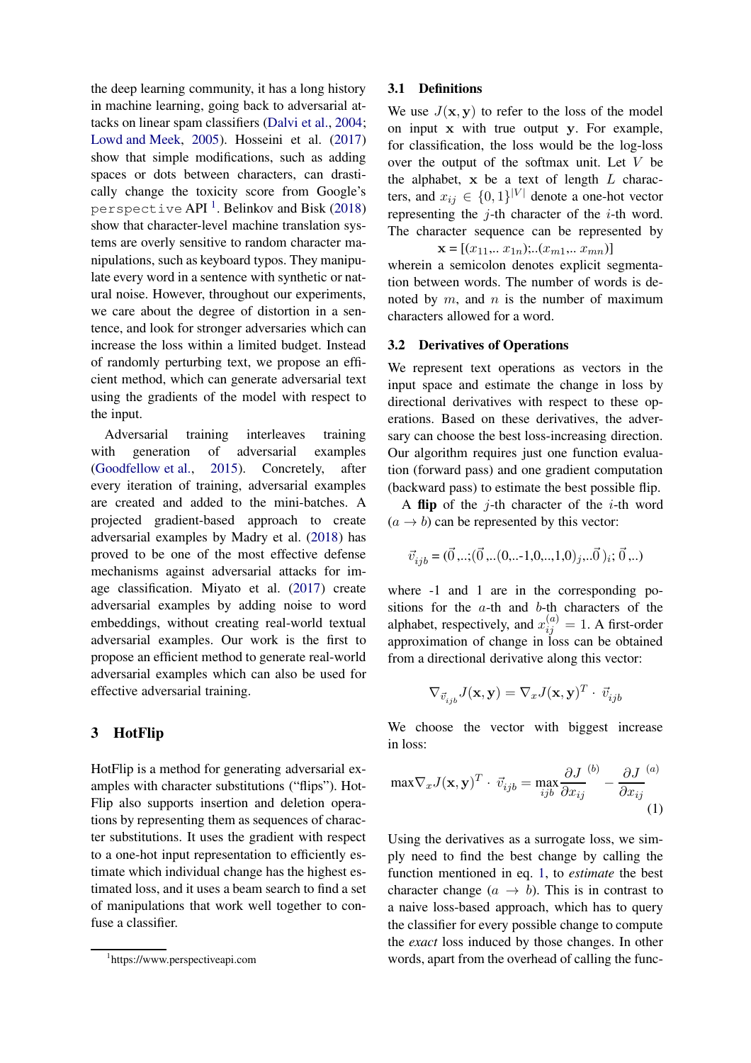the deep learning community, it has a long history in machine learning, going back to adversarial attacks on linear spam classifiers [\(Dalvi et al.](#page-5-6), [2004](#page-5-6); [Lowd and Meek](#page-5-7), [2005\)](#page-5-7). Hosseini et al. [\(2017](#page-5-8)) show that simple modifications, such as adding spaces or dots between characters, can drastically change the toxicity score from Google's perspective API  $^{\rm l}$  . Belinkov and Bisk (20[1](#page-1-0)8) show that character-level machine translation systems are overly sensitive to random character manipulations, such as keyboard typos. They manipulate every word in a sentence with synthetic or natural noise. However, throughout our experiments, we care about the degree of distortion in a sentence, and look for stronger adversaries which can increase the loss within a limited budget. Instead of randomly perturbing text, we propose an efficient method, which can generate adversarial text using the gradients of the model with respect to the input.

Adversarial training interleaves training with generation of adversarial examples [\(Goodfellow et al.](#page-5-0), [2015](#page-5-0)). Concretely, after every iteration of training, adversarial examples are created and added to the mini-batches. A projected gradient-based approach to create adversarial examples by Madry et al. [\(2018](#page-5-9)) has proved to be one of the most effective defense mechanisms against adversarial attacks for image classification. Miyato et al. [\(2017](#page-5-10)) create adversarial examples by adding noise to word embeddings, without creating real-world textual adversarial examples. Our work is the first to propose an efficient method to generate real-world adversarial examples which can also be used for effective adversarial training.

## 3 HotFlip

HotFlip is a method for generating adversarial examples with character substitutions ("flips"). Hot-Flip also supports insertion and deletion operations by representing them as sequences of character substitutions. It uses the gradient with respect to a one-hot input representation to efficiently estimate which individual change has the highest estimated loss, and it uses a beam search to find a set of manipulations that work well together to confuse a classifier.

#### 3.1 Definitions

We use  $J(\mathbf{x}, \mathbf{y})$  to refer to the loss of the model on input x with true output y. For example, for classification, the loss would be the log-loss over the output of the softmax unit. Let  $V$  be the alphabet,  $x$  be a text of length  $L$  characters, and  $x_{ij} \in \{0,1\}^{|V|}$  denote a one-hot vector representing the  $j$ -th character of the  $i$ -th word. The character sequence can be represented by

 $\mathbf{x} = [(x_{11},.. x_{1n});..(x_{m1},.. x_{mn})]$ 

wherein a semicolon denotes explicit segmentation between words. The number of words is denoted by  $m$ , and  $n$  is the number of maximum characters allowed for a word.

#### 3.2 Derivatives of Operations

We represent text operations as vectors in the input space and estimate the change in loss by directional derivatives with respect to these operations. Based on these derivatives, the adversary can choose the best loss-increasing direction. Our algorithm requires just one function evaluation (forward pass) and one gradient computation (backward pass) to estimate the best possible flip.

A flip of the  $i$ -th character of the  $i$ -th word  $(a \rightarrow b)$  can be represented by this vector:

$$
\vec{v}_{ijb} = (\vec{0},..;(\vec{0}..(0,..-1,0,..,1,0),... \vec{0})); \vec{0},..)
$$

where  $-1$  and 1 are in the corresponding positions for the a-th and b-th characters of the alphabet, respectively, and  $x_{ij}^{(a)} = 1$ . A first-order approximation of change in loss can be obtained from a directional derivative along this vector:

$$
\nabla_{\vec{v}_{ijb}} J(\mathbf{x},\mathbf{y}) = \nabla_x J(\mathbf{x},\mathbf{y})^T \cdot \vec{v}_{ijb}
$$

<span id="page-1-1"></span>We choose the vector with biggest increase in loss:

$$
\max \nabla_x J(\mathbf{x}, \mathbf{y})^T \cdot \vec{v}_{ijb} = \max_{ijb} \frac{\partial J}{\partial x_{ij}}^{(b)} - \frac{\partial J}{\partial x_{ij}}^{(a)}
$$
(1)

Using the derivatives as a surrogate loss, we simply need to find the best change by calling the function mentioned in eq. [1,](#page-1-1) to *estimate* the best character change  $(a \rightarrow b)$ . This is in contrast to a naive loss-based approach, which has to query the classifier for every possible change to compute the *exact* loss induced by those changes. In other words, apart from the overhead of calling the func-

<span id="page-1-0"></span><sup>1</sup> https://www.perspectiveapi.com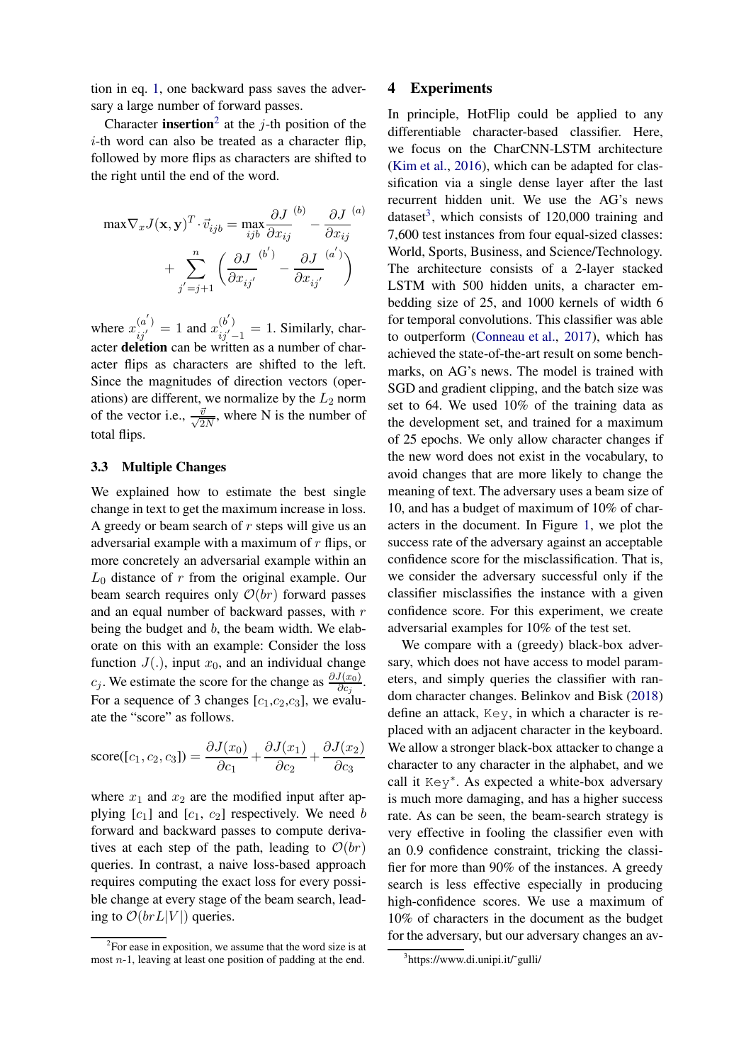tion in eq. [1,](#page-1-1) one backward pass saves the adversary a large number of forward passes.

Character **insertion**<sup>[2](#page-2-0)</sup> at the j-th position of the i-th word can also be treated as a character flip, followed by more flips as characters are shifted to the right until the end of the word.

$$
\max \nabla_x J(\mathbf{x}, \mathbf{y})^T \cdot \vec{v}_{ijb} = \max_{ijb} \frac{\partial J}{\partial x_{ij}}^{(b)} - \frac{\partial J}{\partial x_{ij}}^{(a)}
$$

$$
+ \sum_{j'=j+1}^n \left( \frac{\partial J}{\partial x_{ij'}}^{(b')} - \frac{\partial J}{\partial x_{ij'}}^{(a')} \right)
$$

where  $x_{ij}^{(a')} = 1$  and  $x_{ij'-1}^{(b')} = 1$ . Similarly, character deletion can be written as a number of character flips as characters are shifted to the left. Since the magnitudes of direction vectors (operations) are different, we normalize by the  $L_2$  norm of the vector i.e.,  $\frac{\bar{v}}{\sqrt{2}}$  $\frac{v}{2N}$ , where N is the number of total flips.

### 3.3 Multiple Changes

We explained how to estimate the best single change in text to get the maximum increase in loss. A greedy or beam search of  $r$  steps will give us an adversarial example with a maximum of  $r$  flips, or more concretely an adversarial example within an  $L_0$  distance of r from the original example. Our beam search requires only  $\mathcal{O}(br)$  forward passes and an equal number of backward passes, with r being the budget and b, the beam width. We elaborate on this with an example: Consider the loss function  $J(.)$ , input  $x_0$ , and an individual change  $c_j$ . We estimate the score for the change as  $\frac{\partial J(x_0)}{\partial c_j}$ . For a sequence of 3 changes  $[c_1,c_2,c_3]$ , we evaluate the "score" as follows.

score([c<sub>1</sub>, c<sub>2</sub>, c<sub>3</sub>]) = 
$$
\frac{\partial J(x_0)}{\partial c_1} + \frac{\partial J(x_1)}{\partial c_2} + \frac{\partial J(x_2)}{\partial c_3}
$$

where  $x_1$  and  $x_2$  are the modified input after applying  $[c_1]$  and  $[c_1, c_2]$  respectively. We need b forward and backward passes to compute derivatives at each step of the path, leading to  $\mathcal{O}(br)$ queries. In contrast, a naive loss-based approach requires computing the exact loss for every possible change at every stage of the beam search, leading to  $\mathcal{O}(brL|V|)$  queries.

### 4 Experiments

In principle, HotFlip could be applied to any differentiable character-based classifier. Here, we focus on the CharCNN-LSTM architecture [\(Kim et al.](#page-5-11), [2016\)](#page-5-11), which can be adapted for classification via a single dense layer after the last recurrent hidden unit. We use the AG's news dataset<sup>[3](#page-2-1)</sup>, which consists of  $120,000$  training and 7,600 test instances from four equal-sized classes: World, Sports, Business, and Science/Technology. The architecture consists of a 2-layer stacked LSTM with 500 hidden units, a character embedding size of 25, and 1000 kernels of width 6 for temporal convolutions. This classifier was able to outperform [\(Conneau et al.](#page-5-12), [2017](#page-5-12)), which has achieved the state-of-the-art result on some benchmarks, on AG's news. The model is trained with SGD and gradient clipping, and the batch size was set to 64. We used 10% of the training data as the development set, and trained for a maximum of 25 epochs. We only allow character changes if the new word does not exist in the vocabulary, to avoid changes that are more likely to change the meaning of text. The adversary uses a beam size of 10, and has a budget of maximum of 10% of characters in the document. In Figure [1,](#page-3-0) we plot the success rate of the adversary against an acceptable confidence score for the misclassification. That is, we consider the adversary successful only if the classifier misclassifies the instance with a given confidence score. For this experiment, we create adversarial examples for 10% of the test set.

We compare with a (greedy) black-box adversary, which does not have access to model parameters, and simply queries the classifier with random character changes. Belinkov and Bisk [\(2018\)](#page-5-3) define an attack, Key, in which a character is replaced with an adjacent character in the keyboard. We allow a stronger black-box attacker to change a character to any character in the alphabet, and we call it Key∗ . As expected a white-box adversary is much more damaging, and has a higher success rate. As can be seen, the beam-search strategy is very effective in fooling the classifier even with an 0.9 confidence constraint, tricking the classifier for more than 90% of the instances. A greedy search is less effective especially in producing high-confidence scores. We use a maximum of 10% of characters in the document as the budget for the adversary, but our adversary changes an av-

<span id="page-2-0"></span><sup>&</sup>lt;sup>2</sup>For ease in exposition, we assume that the word size is at most  $n-1$ , leaving at least one position of padding at the end.

<span id="page-2-1"></span><sup>&</sup>lt;sup>3</sup>https://www.di.unipi.it/~gulli/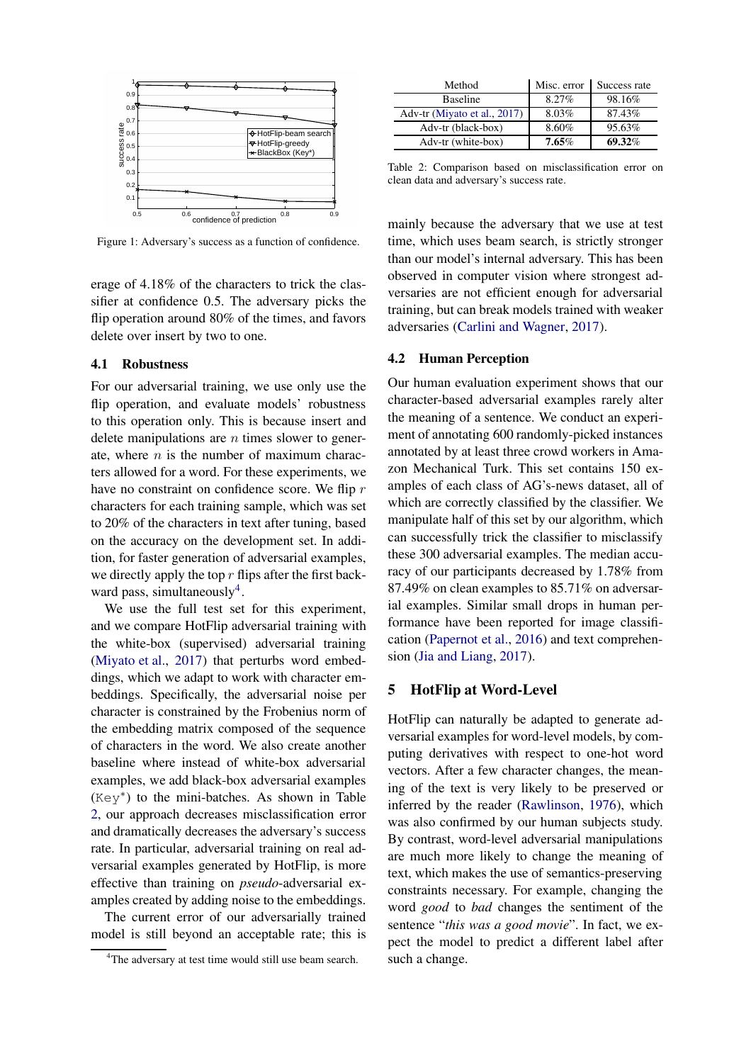<span id="page-3-0"></span>

Figure 1: Adversary's success as a function of confidence.

erage of 4.18% of the characters to trick the classifier at confidence 0.5. The adversary picks the flip operation around 80% of the times, and favors delete over insert by two to one.

### 4.1 Robustness

For our adversarial training, we use only use the flip operation, and evaluate models' robustness to this operation only. This is because insert and delete manipulations are  $n$  times slower to generate, where  $n$  is the number of maximum characters allowed for a word. For these experiments, we have no constraint on confidence score. We flip r characters for each training sample, which was set to 20% of the characters in text after tuning, based on the accuracy on the development set. In addition, for faster generation of adversarial examples, we directly apply the top  $r$  flips after the first back-ward pass, simultaneously<sup>[4](#page-3-1)</sup>.

We use the full test set for this experiment, and we compare HotFlip adversarial training with the white-box (supervised) adversarial training [\(Miyato et al.](#page-5-10), [2017](#page-5-10)) that perturbs word embeddings, which we adapt to work with character embeddings. Specifically, the adversarial noise per character is constrained by the Frobenius norm of the embedding matrix composed of the sequence of characters in the word. We also create another baseline where instead of white-box adversarial examples, we add black-box adversarial examples (Key∗ ) to the mini-batches. As shown in Table [2,](#page-3-2) our approach decreases misclassification error and dramatically decreases the adversary's success rate. In particular, adversarial training on real adversarial examples generated by HotFlip, is more effective than training on *pseudo*-adversarial examples created by adding noise to the embeddings.

The current error of our adversarially trained model is still beyond an acceptable rate; this is

<span id="page-3-2"></span>

| Method                       | Misc. error | Success rate |  |
|------------------------------|-------------|--------------|--|
| <b>Baseline</b>              | $8.27\%$    | 98.16%       |  |
| Adv-tr (Miyato et al., 2017) | 8.03%       | 87.43%       |  |
| Adv-tr (black-box)           | 8.60%       | 95.63%       |  |
| Adv-tr (white-box)           | $7.65\%$    | 69.32%       |  |

Table 2: Comparison based on misclassification error on clean data and adversary's success rate.

mainly because the adversary that we use at test time, which uses beam search, is strictly stronger than our model's internal adversary. This has been observed in computer vision where strongest adversaries are not efficient enough for adversarial training, but can break models trained with weaker adversaries [\(Carlini and Wagner](#page-5-13), [2017\)](#page-5-13).

### 4.2 Human Perception

Our human evaluation experiment shows that our character-based adversarial examples rarely alter the meaning of a sentence. We conduct an experiment of annotating 600 randomly-picked instances annotated by at least three crowd workers in Amazon Mechanical Turk. This set contains 150 examples of each class of AG's-news dataset, all of which are correctly classified by the classifier. We manipulate half of this set by our algorithm, which can successfully trick the classifier to misclassify these 300 adversarial examples. The median accuracy of our participants decreased by 1.78% from 87.49% on clean examples to 85.71% on adversarial examples. Similar small drops in human performance have been reported for image classification [\(Papernot et al.,](#page-5-14) [2016\)](#page-5-14) and text comprehension [\(Jia and Liang](#page-5-1), [2017\)](#page-5-1).

### 5 HotFlip at Word-Level

HotFlip can naturally be adapted to generate adversarial examples for word-level models, by computing derivatives with respect to one-hot word vectors. After a few character changes, the meaning of the text is very likely to be preserved or inferred by the reader [\(Rawlinson,](#page-5-15) [1976](#page-5-15)), which was also confirmed by our human subjects study. By contrast, word-level adversarial manipulations are much more likely to change the meaning of text, which makes the use of semantics-preserving constraints necessary. For example, changing the word *good* to *bad* changes the sentiment of the sentence "*this was a good movie*". In fact, we expect the model to predict a different label after such a change.

<span id="page-3-1"></span><sup>&</sup>lt;sup>4</sup>The adversary at test time would still use beam search.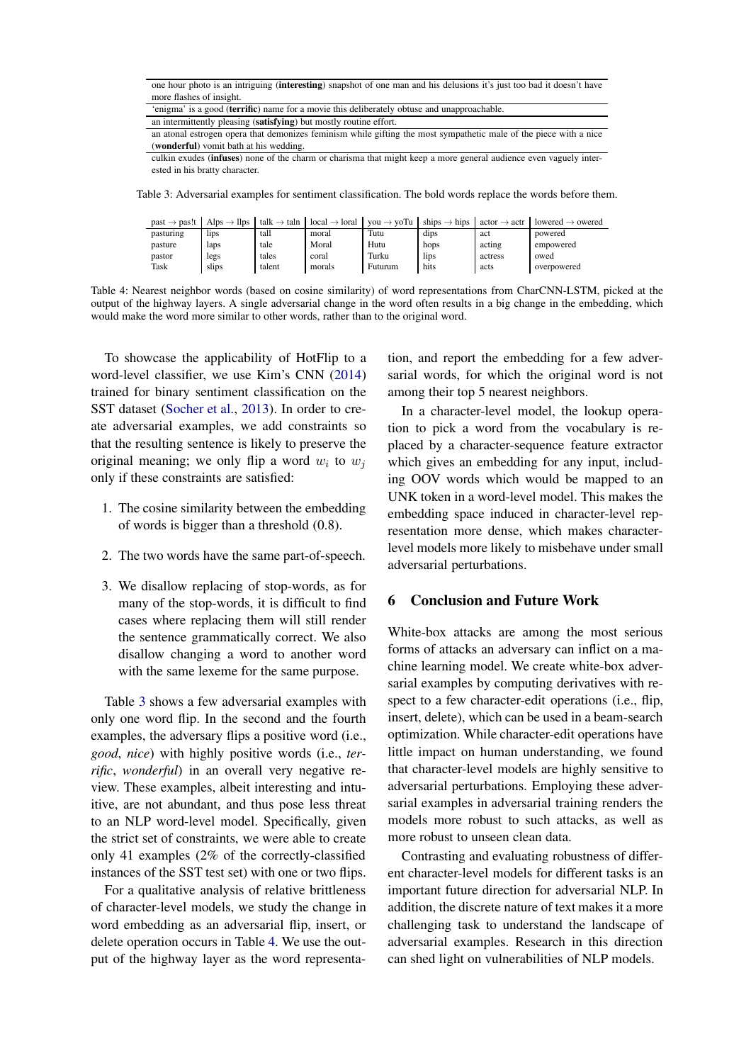<span id="page-4-0"></span>

| one hour photo is an intriguing (interesting) snapshot of one man and his delusions it's just too bad it doesn't have |  |
|-----------------------------------------------------------------------------------------------------------------------|--|
| more flashes of insight.                                                                                              |  |

<sup>&#</sup>x27;enigma' is a good (terrific) name for a movie this deliberately obtuse and unapproachable.

an atonal estrogen opera that demonizes feminism while gifting the most sympathetic male of the piece with a nice (wonderful) vomit bath at his wedding.

culkin exudes (infuses) none of the charm or charisma that might keep a more general audience even vaguely interested in his bratty character.

<span id="page-4-1"></span>Table 3: Adversarial examples for sentiment classification. The bold words replace the words before them.

| $past \rightarrow pas!t$ | Alps $\rightarrow$ llps       | talk $\rightarrow$ taln | $local \rightarrow local$ | $v \circ u \to v \circ Tu$ | ships $\rightarrow$ hips | $actor \rightarrow actr$ | lowered $\rightarrow$ owered |
|--------------------------|-------------------------------|-------------------------|---------------------------|----------------------------|--------------------------|--------------------------|------------------------------|
| pasturing                | l <sub>1</sub> p <sub>S</sub> | tall                    | moral                     | Tutu                       | dips                     | act                      | powered                      |
| pasture                  | laps                          | tale                    | Moral                     | Hutu                       | hops                     | acting                   | empowered                    |
| pastor                   | legs                          | tales                   | coral                     | Turku                      | lips                     | actress                  | owed                         |
| Task                     | slips                         | talent                  | morals                    | Futurum                    | hits                     | acts                     | overpowered                  |

Table 4: Nearest neighbor words (based on cosine similarity) of word representations from CharCNN-LSTM, picked at the output of the highway layers. A single adversarial change in the word often results in a big change in the embedding, which would make the word more similar to other words, rather than to the original word.

To showcase the applicability of HotFlip to a word-level classifier, we use Kim's CNN [\(2014](#page-5-16)) trained for binary sentiment classification on the SST dataset [\(Socher et al.](#page-5-17), [2013](#page-5-17)). In order to create adversarial examples, we add constraints so that the resulting sentence is likely to preserve the original meaning; we only flip a word  $w_i$  to  $w_j$ only if these constraints are satisfied:

- 1. The cosine similarity between the embedding of words is bigger than a threshold (0.8).
- 2. The two words have the same part-of-speech.
- 3. We disallow replacing of stop-words, as for many of the stop-words, it is difficult to find cases where replacing them will still render the sentence grammatically correct. We also disallow changing a word to another word with the same lexeme for the same purpose.

Table [3](#page-4-0) shows a few adversarial examples with only one word flip. In the second and the fourth examples, the adversary flips a positive word (i.e., *good*, *nice*) with highly positive words (i.e., *terrific*, *wonderful*) in an overall very negative review. These examples, albeit interesting and intuitive, are not abundant, and thus pose less threat to an NLP word-level model. Specifically, given the strict set of constraints, we were able to create only 41 examples (2% of the correctly-classified instances of the SST test set) with one or two flips.

For a qualitative analysis of relative brittleness of character-level models, we study the change in word embedding as an adversarial flip, insert, or delete operation occurs in Table [4.](#page-4-1) We use the output of the highway layer as the word representation, and report the embedding for a few adversarial words, for which the original word is not among their top 5 nearest neighbors.

In a character-level model, the lookup operation to pick a word from the vocabulary is replaced by a character-sequence feature extractor which gives an embedding for any input, including OOV words which would be mapped to an UNK token in a word-level model. This makes the embedding space induced in character-level representation more dense, which makes characterlevel models more likely to misbehave under small adversarial perturbations.

## 6 Conclusion and Future Work

White-box attacks are among the most serious forms of attacks an adversary can inflict on a machine learning model. We create white-box adversarial examples by computing derivatives with respect to a few character-edit operations (i.e., flip, insert, delete), which can be used in a beam-search optimization. While character-edit operations have little impact on human understanding, we found that character-level models are highly sensitive to adversarial perturbations. Employing these adversarial examples in adversarial training renders the models more robust to such attacks, as well as more robust to unseen clean data.

Contrasting and evaluating robustness of different character-level models for different tasks is an important future direction for adversarial NLP. In addition, the discrete nature of text makes it a more challenging task to understand the landscape of adversarial examples. Research in this direction can shed light on vulnerabilities of NLP models.

an intermittently pleasing (satisfying) but mostly routine effort.